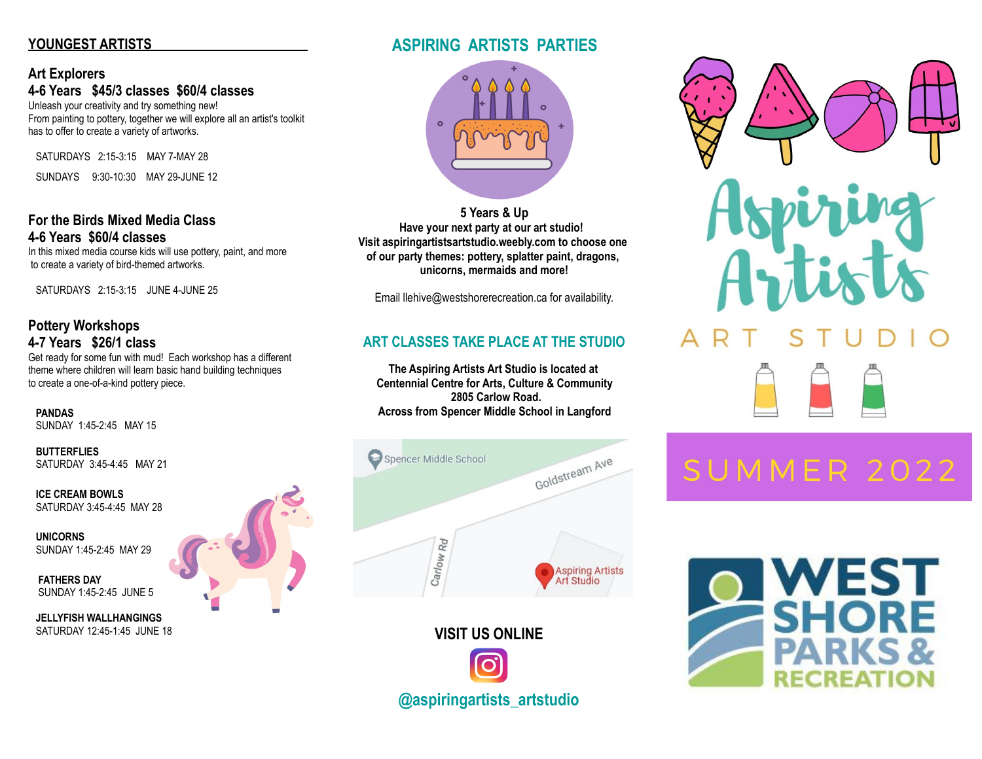# **YOUNGEST ARTISTS**

### **Art Explorers 4-6 Years \$45/3 classes \$60/4 classes**

Unleash your creativity and try something new! From painting to pottery, together we will explore all an artist's toolkit has to offer to create a variety of artworks.

SATURDAYS 2:15-3:15 MAY 7-MAY 28

SUNDAYS 9:30-10:30 MAY 29-JUNE 12

### **For the Birds Mixed Media Class 4-6 Years \$60/4 classes**

In this mixed media course kids will use pottery, paint, and more to create a variety of bird-themed artworks.

SATURDAYS 2:15-3:15 JUNE 4-JUNE 25

# **Pottery Workshops 4-7 Years \$26/1 class**

Get ready for some fun with mud! Each workshop has a different theme where children will learn basic hand building techniques to create a one-of-a-kind pottery piece.

 **PANDAS** SUNDAY 1:45-2:45 MAY 15

 **BUTTERFLIES** SATURDAY 3:45-4:45 MAY 21

 **ICE CREAM BOWLS** SATURDAY 3:45-4:45 MAY 28

 **UNICORNS**  SUNDAY 1:45-2:45 MAY 29

 **FATHERS DAY** SUNDAY 1:45-2:45 JUNE 5

 **JELLYFISH WALLHANGINGS** SATURDAY 12:45-1:45 JUNE 18

# **ASPIRING ARTISTS PARTIES**



**5 Years & Up Have your next party at our art studio! Visit aspiringartistsartstudio.weebly.com to choose one of our party themes: pottery, splatter paint, dragons, unicorns, mermaids and more!**

Email llehive@westshorerecreation.ca for availability.

# **ART CLASSES TAKE PLACE AT THE STUDIO**

**The Aspiring Artists Art Studio is located at Centennial Centre for Arts, Culture & Community 2805 Carlow Road. Across from Spencer Middle School in Langford**